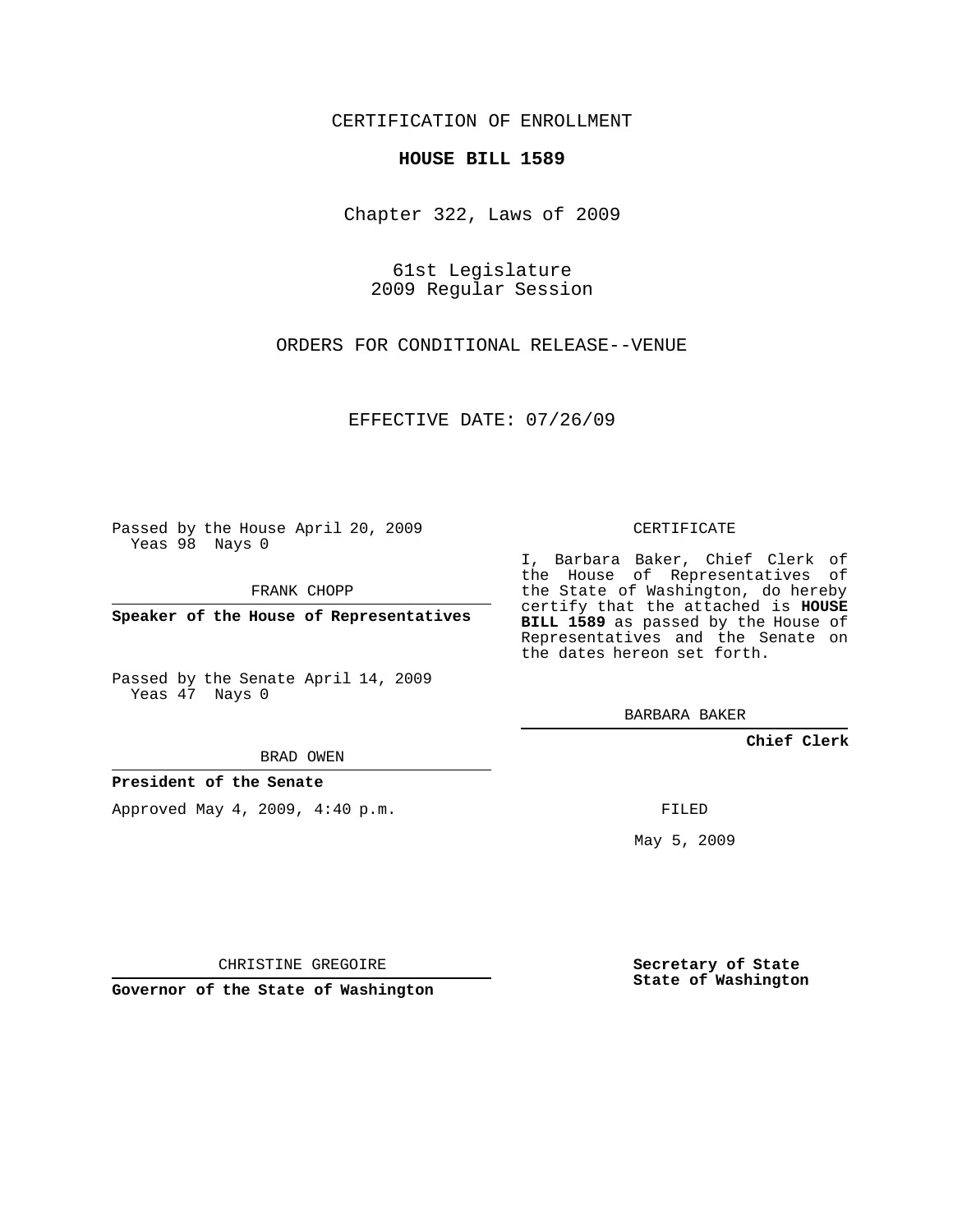## CERTIFICATION OF ENROLLMENT

### **HOUSE BILL 1589**

Chapter 322, Laws of 2009

61st Legislature 2009 Regular Session

ORDERS FOR CONDITIONAL RELEASE--VENUE

EFFECTIVE DATE: 07/26/09

Passed by the House April 20, 2009 Yeas 98 Nays 0

FRANK CHOPP

**Speaker of the House of Representatives**

Passed by the Senate April 14, 2009 Yeas 47 Nays 0

BRAD OWEN

**President of the Senate**

Approved May 4, 2009, 4:40 p.m.

CERTIFICATE

I, Barbara Baker, Chief Clerk of the House of Representatives of the State of Washington, do hereby certify that the attached is **HOUSE BILL 1589** as passed by the House of Representatives and the Senate on the dates hereon set forth.

BARBARA BAKER

**Chief Clerk**

FILED

May 5, 2009

**Secretary of State State of Washington**

CHRISTINE GREGOIRE

**Governor of the State of Washington**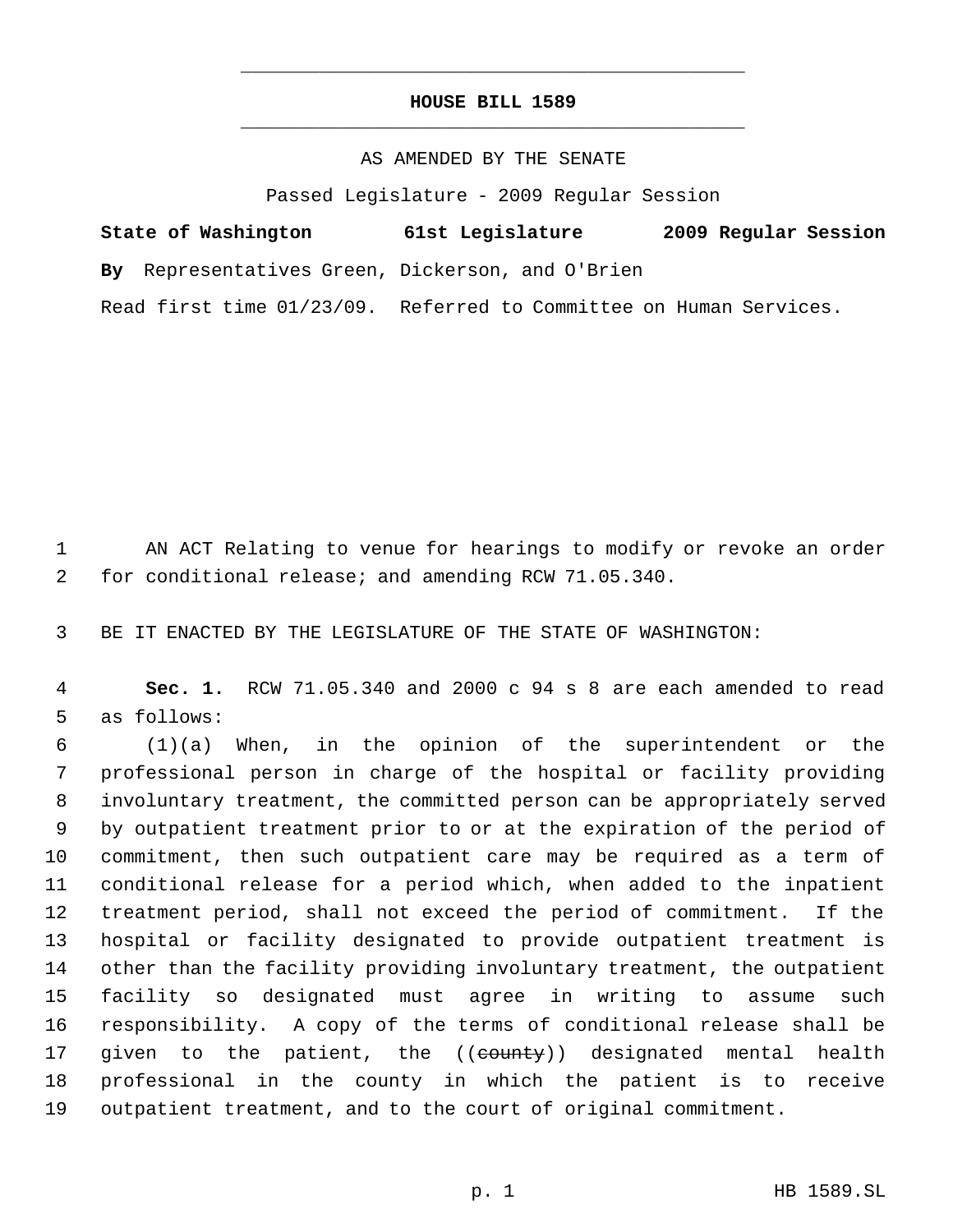# **HOUSE BILL 1589** \_\_\_\_\_\_\_\_\_\_\_\_\_\_\_\_\_\_\_\_\_\_\_\_\_\_\_\_\_\_\_\_\_\_\_\_\_\_\_\_\_\_\_\_\_

\_\_\_\_\_\_\_\_\_\_\_\_\_\_\_\_\_\_\_\_\_\_\_\_\_\_\_\_\_\_\_\_\_\_\_\_\_\_\_\_\_\_\_\_\_

## AS AMENDED BY THE SENATE

Passed Legislature - 2009 Regular Session

| State of Washington                              | 61st Legislature                         | 2009 Regular Session |  |
|--------------------------------------------------|------------------------------------------|----------------------|--|
| By Representatives Green, Dickerson, and O'Brien |                                          |                      |  |
| Read first time $01/23/09$ .                     | Referred to Committee on Human Services. |                      |  |

1 AN ACT Relating to venue for hearings to modify or revoke an order for conditional release; and amending RCW 71.05.340.

BE IT ENACTED BY THE LEGISLATURE OF THE STATE OF WASHINGTON:

 **Sec. 1.** RCW 71.05.340 and 2000 c 94 s 8 are each amended to read as follows:

 (1)(a) When, in the opinion of the superintendent or the professional person in charge of the hospital or facility providing involuntary treatment, the committed person can be appropriately served by outpatient treatment prior to or at the expiration of the period of commitment, then such outpatient care may be required as a term of conditional release for a period which, when added to the inpatient treatment period, shall not exceed the period of commitment. If the hospital or facility designated to provide outpatient treatment is other than the facility providing involuntary treatment, the outpatient facility so designated must agree in writing to assume such responsibility. A copy of the terms of conditional release shall be 17 given to the patient, the ((<del>county</del>)) designated mental health professional in the county in which the patient is to receive outpatient treatment, and to the court of original commitment.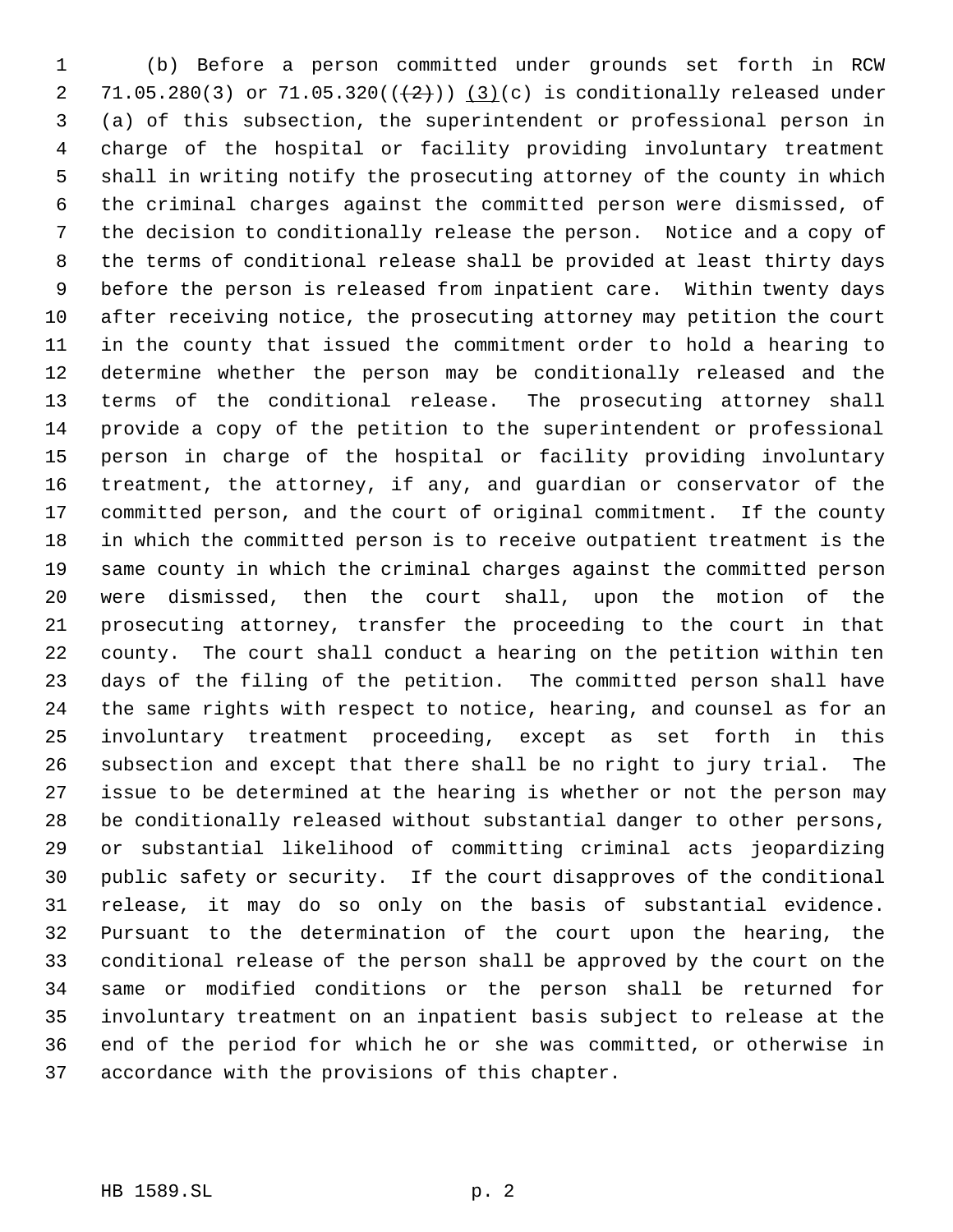(b) Before a person committed under grounds set forth in RCW 2 71.05.280(3) or 71.05.320( $(\frac{2}{2})$ ) (3)(c) is conditionally released under (a) of this subsection, the superintendent or professional person in charge of the hospital or facility providing involuntary treatment shall in writing notify the prosecuting attorney of the county in which the criminal charges against the committed person were dismissed, of the decision to conditionally release the person. Notice and a copy of the terms of conditional release shall be provided at least thirty days before the person is released from inpatient care. Within twenty days after receiving notice, the prosecuting attorney may petition the court in the county that issued the commitment order to hold a hearing to determine whether the person may be conditionally released and the terms of the conditional release. The prosecuting attorney shall provide a copy of the petition to the superintendent or professional person in charge of the hospital or facility providing involuntary treatment, the attorney, if any, and guardian or conservator of the committed person, and the court of original commitment. If the county in which the committed person is to receive outpatient treatment is the same county in which the criminal charges against the committed person were dismissed, then the court shall, upon the motion of the prosecuting attorney, transfer the proceeding to the court in that county. The court shall conduct a hearing on the petition within ten days of the filing of the petition. The committed person shall have the same rights with respect to notice, hearing, and counsel as for an involuntary treatment proceeding, except as set forth in this subsection and except that there shall be no right to jury trial. The issue to be determined at the hearing is whether or not the person may be conditionally released without substantial danger to other persons, or substantial likelihood of committing criminal acts jeopardizing public safety or security. If the court disapproves of the conditional release, it may do so only on the basis of substantial evidence. Pursuant to the determination of the court upon the hearing, the conditional release of the person shall be approved by the court on the same or modified conditions or the person shall be returned for involuntary treatment on an inpatient basis subject to release at the end of the period for which he or she was committed, or otherwise in accordance with the provisions of this chapter.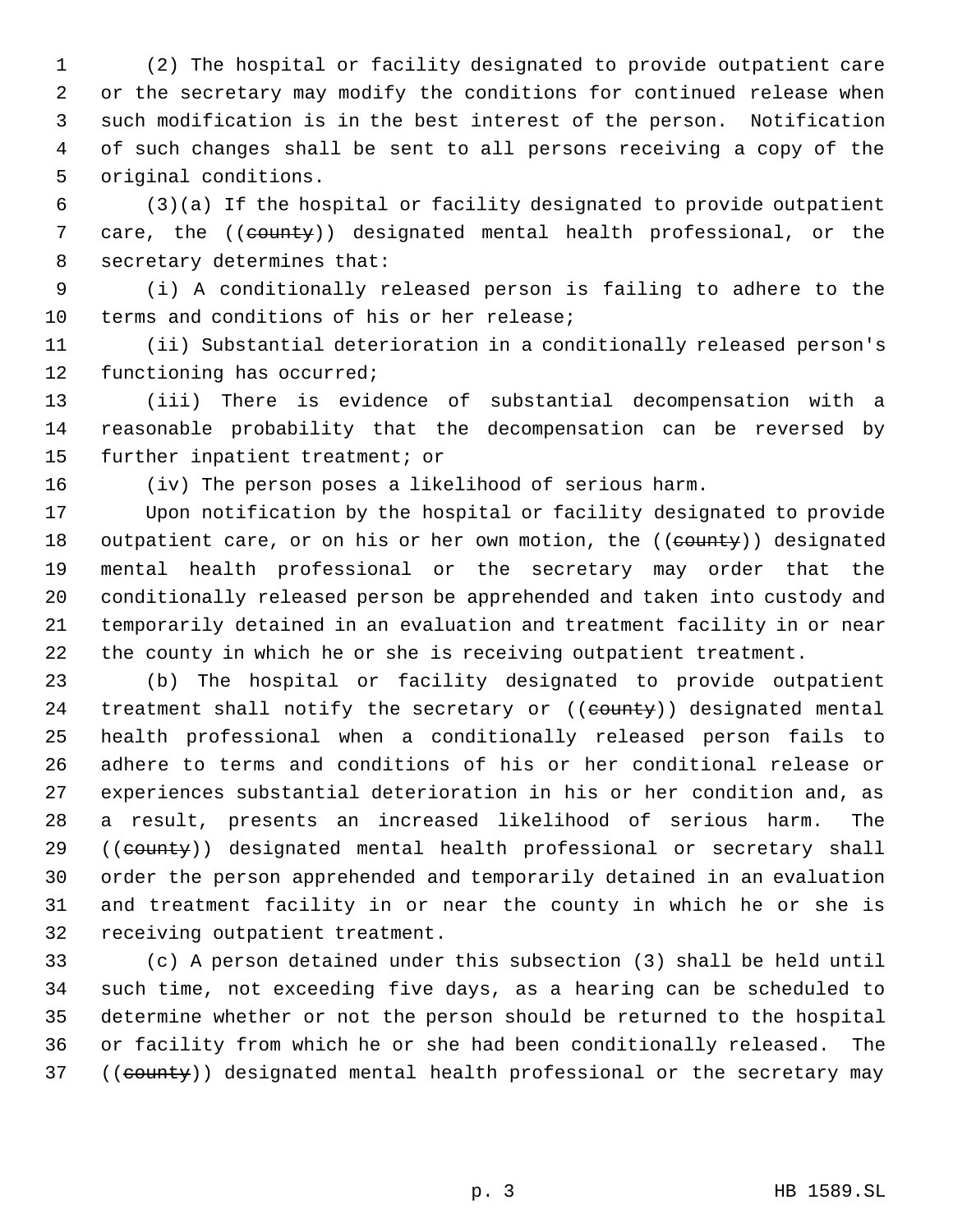(2) The hospital or facility designated to provide outpatient care or the secretary may modify the conditions for continued release when such modification is in the best interest of the person. Notification of such changes shall be sent to all persons receiving a copy of the original conditions.

 (3)(a) If the hospital or facility designated to provide outpatient 7 care, the ((county)) designated mental health professional, or the secretary determines that:

 (i) A conditionally released person is failing to adhere to the terms and conditions of his or her release;

 (ii) Substantial deterioration in a conditionally released person's functioning has occurred;

 (iii) There is evidence of substantial decompensation with a reasonable probability that the decompensation can be reversed by further inpatient treatment; or

(iv) The person poses a likelihood of serious harm.

 Upon notification by the hospital or facility designated to provide 18 outpatient care, or on his or her own motion, the ((county)) designated mental health professional or the secretary may order that the conditionally released person be apprehended and taken into custody and temporarily detained in an evaluation and treatment facility in or near the county in which he or she is receiving outpatient treatment.

 (b) The hospital or facility designated to provide outpatient 24 treatment shall notify the secretary or ((county)) designated mental health professional when a conditionally released person fails to adhere to terms and conditions of his or her conditional release or experiences substantial deterioration in his or her condition and, as a result, presents an increased likelihood of serious harm. The 29 ((county)) designated mental health professional or secretary shall order the person apprehended and temporarily detained in an evaluation and treatment facility in or near the county in which he or she is receiving outpatient treatment.

 (c) A person detained under this subsection (3) shall be held until such time, not exceeding five days, as a hearing can be scheduled to determine whether or not the person should be returned to the hospital or facility from which he or she had been conditionally released. The 37 ((county)) designated mental health professional or the secretary may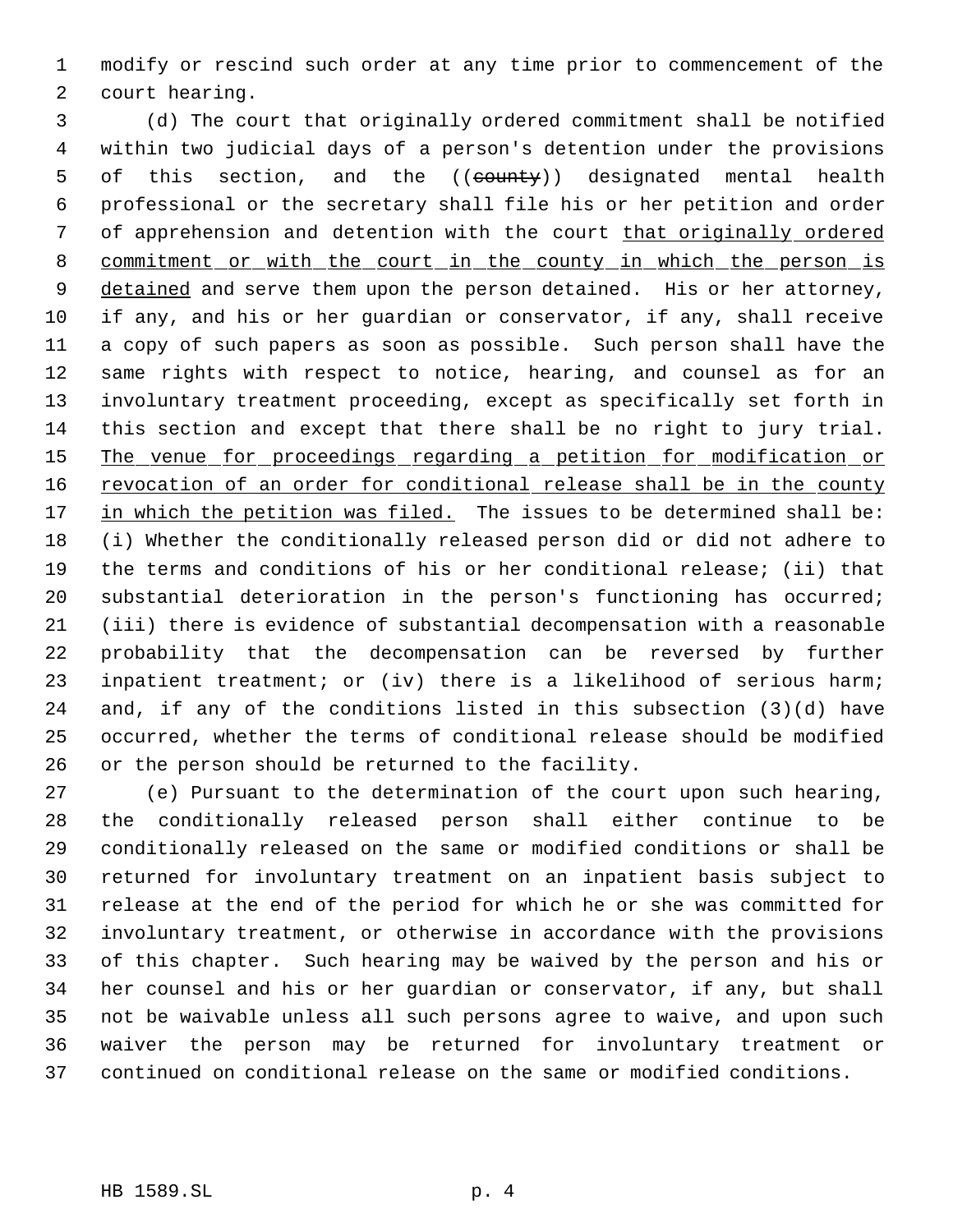modify or rescind such order at any time prior to commencement of the court hearing.

 (d) The court that originally ordered commitment shall be notified within two judicial days of a person's detention under the provisions 5 of this section, and the ((county)) designated mental health professional or the secretary shall file his or her petition and order 7 of apprehension and detention with the court that originally ordered 8 commitment or with the court in the county in which the person is 9 detained and serve them upon the person detained. His or her attorney, if any, and his or her guardian or conservator, if any, shall receive a copy of such papers as soon as possible. Such person shall have the same rights with respect to notice, hearing, and counsel as for an involuntary treatment proceeding, except as specifically set forth in this section and except that there shall be no right to jury trial. 15 The venue for proceedings regarding a petition for modification or 16 revocation of an order for conditional release shall be in the county 17 in which the petition was filed. The issues to be determined shall be: (i) Whether the conditionally released person did or did not adhere to the terms and conditions of his or her conditional release; (ii) that substantial deterioration in the person's functioning has occurred; (iii) there is evidence of substantial decompensation with a reasonable probability that the decompensation can be reversed by further inpatient treatment; or (iv) there is a likelihood of serious harm; and, if any of the conditions listed in this subsection (3)(d) have occurred, whether the terms of conditional release should be modified or the person should be returned to the facility.

 (e) Pursuant to the determination of the court upon such hearing, the conditionally released person shall either continue to be conditionally released on the same or modified conditions or shall be returned for involuntary treatment on an inpatient basis subject to release at the end of the period for which he or she was committed for involuntary treatment, or otherwise in accordance with the provisions of this chapter. Such hearing may be waived by the person and his or her counsel and his or her guardian or conservator, if any, but shall not be waivable unless all such persons agree to waive, and upon such waiver the person may be returned for involuntary treatment or continued on conditional release on the same or modified conditions.